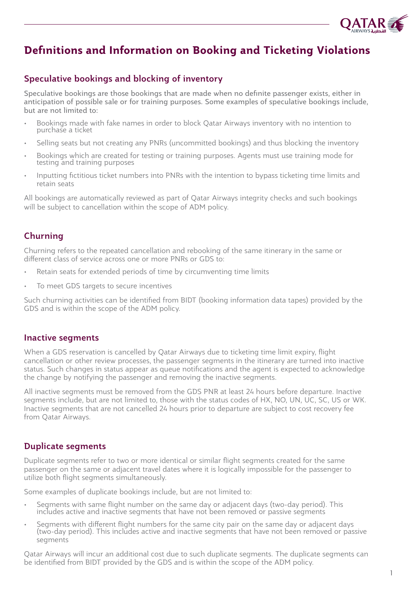

# **Definitions and Information on Booking and Ticketing Violations**

# Speculative bookings and blocking of inventory

Speculative bookings are those bookings that are made when no definite passenger exists, either in anticipation of possible sale or for training purposes. Some examples of speculative bookings include, but are not limited to:

- Bookings made with fake names in order to block Qatar Airways inventory with no intention to purchase a ticket
- Selling seats but not creating any PNRs (uncommitted bookings) and thus blocking the inventory
- Bookings which are created for testing or training purposes. Agents must use training mode for testing and training purposes
- Inputting fictitious ticket numbers into PNRs with the intention to bypass ticketing time limits and retain seats

All bookings are automatically reviewed as part of Qatar Airways integrity checks and such bookings will be subject to cancellation within the scope of ADM policy.

# Churning

Churning refers to the repeated cancellation and rebooking of the same itinerary in the same or different class of service across one or more PNRs or GDS to:

- Retain seats for extended periods of time by circumventing time limits
- To meet GDS targets to secure incentives

Such churning activities can be identified from BIDT (booking information data tapes) provided by the GDS and is within the scope of the ADM policy.

#### Inactive segments

When a GDS reservation is cancelled by Qatar Airways due to ticketing time limit expiry, flight cancellation or other review processes, the passenger segments in the itinerary are turned into inactive status. Such changes in status appear as queue notifications and the agent is expected to acknowledge the change by notifying the passenger and removing the inactive segments.

All inactive segments must be removed from the GDS PNR at least 24 hours before departure. Inactive segments include, but are not limited to, those with the status codes of HX, NO, UN, UC, SC, US or WK. Inactive segments that are not cancelled 24 hours prior to departure are subject to cost recovery fee from Qatar Airways.

# Duplicate segments

Duplicate segments refer to two or more identical or similar flight segments created for the same passenger on the same or adjacent travel dates where it is logically impossible for the passenger to utilize both flight segments simultaneously.

Some examples of duplicate bookings include, but are not limited to:

- Segments with same flight number on the same day or adjacent days (two-day period). This includes active and inactive segments that have not been removed or passive segments
- Segments with different flight numbers for the same city pair on the same day or adjacent days (two-day period). This includes active and inactive segments that have not been removed or passive segments

Qatar Airways will incur an additional cost due to such duplicate segments. The duplicate segments can be identified from BIDT provided by the GDS and is within the scope of the ADM policy.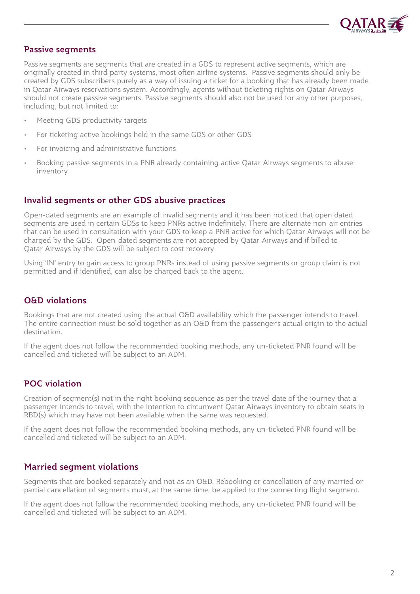

#### Passive segments

Passive segments are segments that are created in a GDS to represent active segments, which are originally created in third party systems, most often airline systems. Passive segments should only be created by GDS subscribers purely as a way of issuing a ticket for a booking that has already been made in Qatar Airways reservations system. Accordingly, agents without ticketing rights on Qatar Airways should not create passive segments. Passive segments should also not be used for any other purposes, including, but not limited to:

- Meeting GDS productivity targets
- For ticketing active bookings held in the same GDS or other GDS
- For invoicing and administrative functions
- Booking passive segments in a PNR already containing active Qatar Airways segments to abuse inventory

#### Invalid segments or other GDS abusive practices

Open-dated segments are an example of invalid segments and it has been noticed that open dated segments are used in certain GDSs to keep PNRs active indefinitely. There are alternate non-air entries that can be used in consultation with your GDS to keep a PNR active for which Qatar Airways will not be charged by the GDS. Open-dated segments are not accepted by Qatar Airways and if billed to Qatar Airways by the GDS will be subject to cost recovery

Using 'IN' entry to gain access to group PNRs instead of using passive segments or group claim is not permitted and if identified, can also be charged back to the agent.

#### O&D violations

Bookings that are not created using the actual O&D availability which the passenger intends to travel. The entire connection must be sold together as an O&D from the passenger's actual origin to the actual destination.

If the agent does not follow the recommended booking methods, any un-ticketed PNR found will be cancelled and ticketed will be subject to an ADM.

# POC violation

Creation of segment(s) not in the right booking sequence as per the travel date of the journey that a passenger intends to travel, with the intention to circumvent Qatar Airways inventory to obtain seats in RBD(s) which may have not been available when the same was requested.

If the agent does not follow the recommended booking methods, any un-ticketed PNR found will be cancelled and ticketed will be subject to an ADM.

#### Married segment violations

Segments that are booked separately and not as an O&D. Rebooking or cancellation of any married or partial cancellation of segments must, at the same time, be applied to the connecting flight segment.

If the agent does not follow the recommended booking methods, any un-ticketed PNR found will be cancelled and ticketed will be subject to an ADM.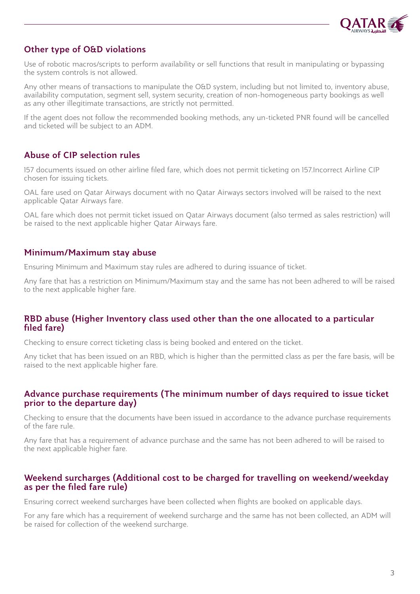

# Other type of O&D violations

Use of robotic macros/scripts to perform availability or sell functions that result in manipulating or bypassing the system controls is not allowed.

Any other means of transactions to manipulate the O&D system, including but not limited to, inventory abuse, availability computation, segment sell, system security, creation of non-homogeneous party bookings as well as any other illegitimate transactions, are strictly not permitted.

If the agent does not follow the recommended booking methods, any un-ticketed PNR found will be cancelled and ticketed will be subject to an ADM.

# Abuse of CIP selection rules

157 documents issued on other airline filed fare, which does not permit ticketing on 157.Incorrect Airline CIP chosen for issuing tickets.

OAL fare used on Qatar Airways document with no Qatar Airways sectors involved will be raised to the next applicable Qatar Airways fare.

OAL fare which does not permit ticket issued on Qatar Airways document (also termed as sales restriction) will be raised to the next applicable higher Qatar Airways fare.

# Minimum/Maximum stay abuse

Ensuring Minimum and Maximum stay rules are adhered to during issuance of ticket.

Any fare that has a restriction on Minimum/Maximum stay and the same has not been adhered to will be raised to the next applicable higher fare.

# RBD abuse (Higher Inventory class used other than the one allocated to a particular filed fare)

Checking to ensure correct ticketing class is being booked and entered on the ticket.

Any ticket that has been issued on an RBD, which is higher than the permitted class as per the fare basis, will be raised to the next applicable higher fare.

### Advance purchase requirements (The minimum number of days required to issue ticket prior to the departure day)

Checking to ensure that the documents have been issued in accordance to the advance purchase requirements of the fare rule.

Any fare that has a requirement of advance purchase and the same has not been adhered to will be raised to the next applicable higher fare.

# Weekend surcharges (Additional cost to be charged for travelling on weekend/weekday as per the filed fare rule)

Ensuring correct weekend surcharges have been collected when flights are booked on applicable days.

For any fare which has a requirement of weekend surcharge and the same has not been collected, an ADM will be raised for collection of the weekend surcharge.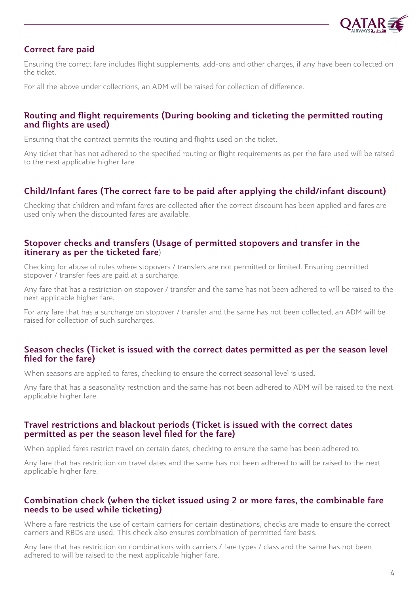

# Correct fare paid

Ensuring the correct fare includes flight supplements, add-ons and other charges, if any have been collected on the ticket.

For all the above under collections, an ADM will be raised for collection of difference.

### Routing and flight requirements (During booking and ticketing the permitted routing and flights are used)

Ensuring that the contract permits the routing and flights used on the ticket.

Any ticket that has not adhered to the specified routing or flight requirements as per the fare used will be raised to the next applicable higher fare.

# Child/Infant fares (The correct fare to be paid after applying the child/infant discount)

Checking that children and infant fares are collected after the correct discount has been applied and fares are used only when the discounted fares are available.

#### Stopover checks and transfers (Usage of permitted stopovers and transfer in the itinerary as per the ticketed fare)

Checking for abuse of rules where stopovers / transfers are not permitted or limited. Ensuring permitted stopover / transfer fees are paid at a surcharge.

Any fare that has a restriction on stopover / transfer and the same has not been adhered to will be raised to the next applicable higher fare.

For any fare that has a surcharge on stopover / transfer and the same has not been collected, an ADM will be raised for collection of such surcharges.

### Season checks (Ticket is issued with the correct dates permitted as per the season level filed for the fare)

When seasons are applied to fares, checking to ensure the correct seasonal level is used.

Any fare that has a seasonality restriction and the same has not been adhered to ADM will be raised to the next applicable higher fare.

### Travel restrictions and blackout periods (Ticket is issued with the correct dates permitted as per the season level filed for the fare)

When applied fares restrict travel on certain dates, checking to ensure the same has been adhered to.

Any fare that has restriction on travel dates and the same has not been adhered to will be raised to the next applicable higher fare.

### Combination check (when the ticket issued using 2 or more fares, the combinable fare needs to be used while ticketing)

Where a fare restricts the use of certain carriers for certain destinations, checks are made to ensure the correct carriers and RBDs are used. This check also ensures combination of permitted fare basis.

Any fare that has restriction on combinations with carriers / fare types / class and the same has not been adhered to will be raised to the next applicable higher fare.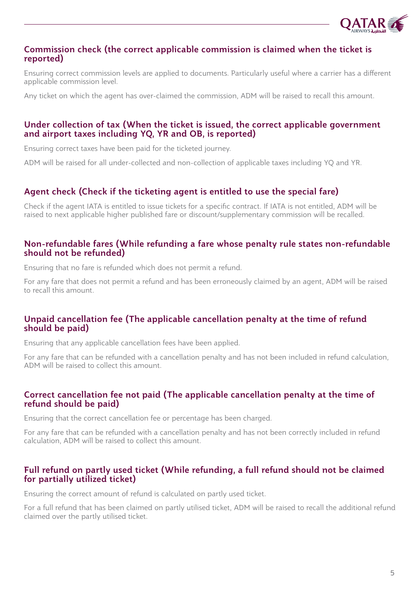

#### Commission check (the correct applicable commission is claimed when the ticket is reported)

Ensuring correct commission levels are applied to documents. Particularly useful where a carrier has a different applicable commission level.

Any ticket on which the agent has over-claimed the commission, ADM will be raised to recall this amount.

### Under collection of tax (When the ticket is issued, the correct applicable government and airport taxes including YQ, YR and OB, is reported)

Ensuring correct taxes have been paid for the ticketed journey.

ADM will be raised for all under-collected and non-collection of applicable taxes including YQ and YR.

# Agent check (Check if the ticketing agent is entitled to use the special fare)

Check if the agent IATA is entitled to issue tickets for a specific contract. If IATA is not entitled, ADM will be raised to next applicable higher published fare or discount/supplementary commission will be recalled.

#### Non-refundable fares (While refunding a fare whose penalty rule states non-refundable should not be refunded)

Ensuring that no fare is refunded which does not permit a refund.

For any fare that does not permit a refund and has been erroneously claimed by an agent, ADM will be raised to recall this amount.

# Unpaid cancellation fee (The applicable cancellation penalty at the time of refund should be paid)

Ensuring that any applicable cancellation fees have been applied.

For any fare that can be refunded with a cancellation penalty and has not been included in refund calculation, ADM will be raised to collect this amount.

### Correct cancellation fee not paid (The applicable cancellation penalty at the time of refund should be paid)

Ensuring that the correct cancellation fee or percentage has been charged.

For any fare that can be refunded with a cancellation penalty and has not been correctly included in refund calculation, ADM will be raised to collect this amount.

# Full refund on partly used ticket (While refunding, a full refund should not be claimed for partially utilized ticket)

Ensuring the correct amount of refund is calculated on partly used ticket.

For a full refund that has been claimed on partly utilised ticket, ADM will be raised to recall the additional refund claimed over the partly utilised ticket.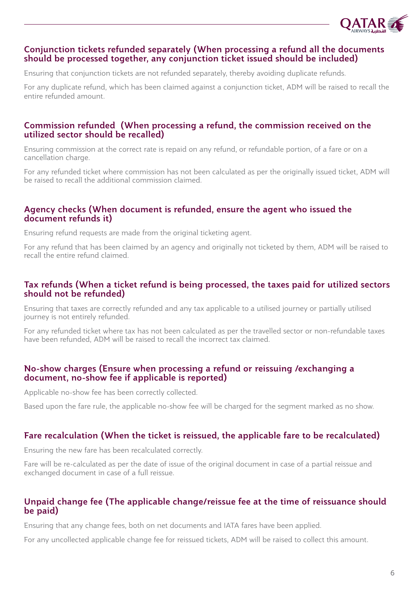

#### Conjunction tickets refunded separately (When processing a refund all the documents should be processed together, any conjunction ticket issued should be included)

Ensuring that conjunction tickets are not refunded separately, thereby avoiding duplicate refunds.

For any duplicate refund, which has been claimed against a conjunction ticket, ADM will be raised to recall the entire refunded amount.

#### Commission refunded (When processing a refund, the commission received on the utilized sector should be recalled)

Ensuring commission at the correct rate is repaid on any refund, or refundable portion, of a fare or on a cancellation charge.

For any refunded ticket where commission has not been calculated as per the originally issued ticket, ADM will be raised to recall the additional commission claimed.

### Agency checks (When document is refunded, ensure the agent who issued the document refunds it)

Ensuring refund requests are made from the original ticketing agent.

For any refund that has been claimed by an agency and originally not ticketed by them, ADM will be raised to recall the entire refund claimed.

### Tax refunds (When a ticket refund is being processed, the taxes paid for utilized sectors should not be refunded)

Ensuring that taxes are correctly refunded and any tax applicable to a utilised journey or partially utilised journey is not entirely refunded.

For any refunded ticket where tax has not been calculated as per the travelled sector or non-refundable taxes have been refunded, ADM will be raised to recall the incorrect tax claimed.

### No-show charges (Ensure when processing a refund or reissuing /exchanging a document, no-show fee if applicable is reported)

Applicable no-show fee has been correctly collected.

Based upon the fare rule, the applicable no-show fee will be charged for the segment marked as no show.

#### Fare recalculation (When the ticket is reissued, the applicable fare to be recalculated)

Ensuring the new fare has been recalculated correctly.

Fare will be re-calculated as per the date of issue of the original document in case of a partial reissue and exchanged document in case of a full reissue.

# Unpaid change fee (The applicable change/reissue fee at the time of reissuance should be paid)

Ensuring that any change fees, both on net documents and IATA fares have been applied.

For any uncollected applicable change fee for reissued tickets, ADM will be raised to collect this amount.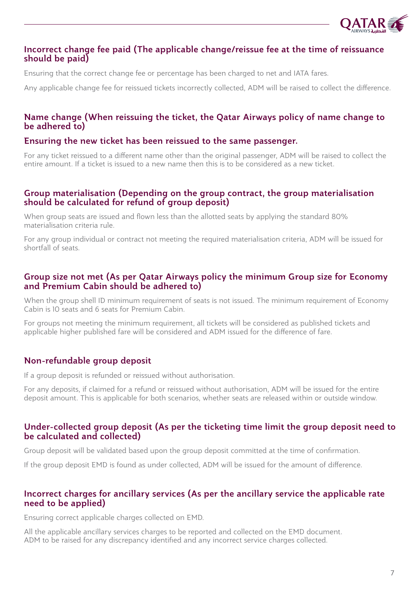

#### Incorrect change fee paid (The applicable change/reissue fee at the time of reissuance should be paid)

Ensuring that the correct change fee or percentage has been charged to net and IATA fares.

Any applicable change fee for reissued tickets incorrectly collected, ADM will be raised to collect the difference.

#### Name change (When reissuing the ticket, the Qatar Airways policy of name change to be adhered to)

#### Ensuring the new ticket has been reissued to the same passenger.

For any ticket reissued to a different name other than the original passenger, ADM will be raised to collect the entire amount. If a ticket is issued to a new name then this is to be considered as a new ticket.

#### Group materialisation (Depending on the group contract, the group materialisation should be calculated for refund of group deposit)

When group seats are issued and flown less than the allotted seats by applying the standard 80% materialisation criteria rule.

For any group individual or contract not meeting the required materialisation criteria, ADM will be issued for shortfall of seats.

#### Group size not met (As per Qatar Airways policy the minimum Group size for Economy and Premium Cabin should be adhered to)

When the group shell ID minimum requirement of seats is not issued. The minimum requirement of Economy Cabin is 10 seats and 6 seats for Premium Cabin.

For groups not meeting the minimum requirement, all tickets will be considered as published tickets and applicable higher published fare will be considered and ADM issued for the difference of fare.

#### Non-refundable group deposit

If a group deposit is refunded or reissued without authorisation.

For any deposits, if claimed for a refund or reissued without authorisation, ADM will be issued for the entire deposit amount. This is applicable for both scenarios, whether seats are released within or outside window.

#### Under-collected group deposit (As per the ticketing time limit the group deposit need to be calculated and collected)

Group deposit will be validated based upon the group deposit committed at the time of confirmation.

If the group deposit EMD is found as under collected, ADM will be issued for the amount of difference.

#### Incorrect charges for ancillary services (As per the ancillary service the applicable rate need to be applied)

Ensuring correct applicable charges collected on EMD.

All the applicable ancillary services charges to be reported and collected on the EMD document. ADM to be raised for any discrepancy identified and any incorrect service charges collected.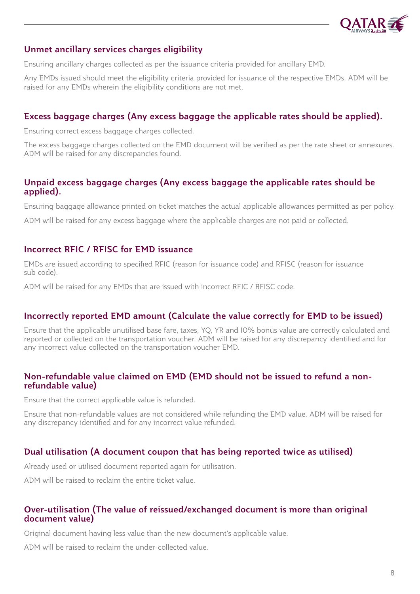

# Unmet ancillary services charges eligibility

Ensuring ancillary charges collected as per the issuance criteria provided for ancillary EMD.

Any EMDs issued should meet the eligibility criteria provided for issuance of the respective EMDs. ADM will be raised for any EMDs wherein the eligibility conditions are not met.

# Excess baggage charges (Any excess baggage the applicable rates should be applied).

Ensuring correct excess baggage charges collected.

The excess baggage charges collected on the EMD document will be verified as per the rate sheet or annexures. ADM will be raised for any discrepancies found.

### Unpaid excess baggage charges (Any excess baggage the applicable rates should be applied).

Ensuring baggage allowance printed on ticket matches the actual applicable allowances permitted as per policy.

ADM will be raised for any excess baggage where the applicable charges are not paid or collected.

### Incorrect RFIC / RFISC for EMD issuance

EMDs are issued according to specified RFIC (reason for issuance code) and RFISC (reason for issuance sub code).

ADM will be raised for any EMDs that are issued with incorrect RFIC / RFISC code.

# Incorrectly reported EMD amount (Calculate the value correctly for EMD to be issued)

Ensure that the applicable unutilised base fare, taxes, YQ, YR and 10% bonus value are correctly calculated and reported or collected on the transportation voucher. ADM will be raised for any discrepancy identified and for any incorrect value collected on the transportation voucher EMD.

# Non-refundable value claimed on EMD (EMD should not be issued to refund a nonrefundable value)

Ensure that the correct applicable value is refunded.

Ensure that non-refundable values are not considered while refunding the EMD value. ADM will be raised for any discrepancy identified and for any incorrect value refunded.

# Dual utilisation (A document coupon that has being reported twice as utilised)

Already used or utilised document reported again for utilisation.

ADM will be raised to reclaim the entire ticket value.

#### Over-utilisation (The value of reissued/exchanged document is more than original document value)

Original document having less value than the new document's applicable value.

ADM will be raised to reclaim the under-collected value.